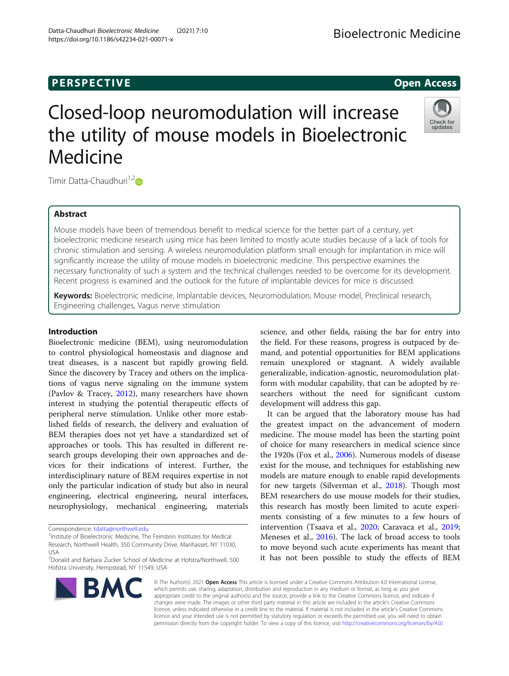## **PERSPECTIVE CONSUMING ACCESS**

# Closed-loop neuromodulation will increase the utility of mouse models in Bioelectronic Medicine

Timir Datta-Chaudhuri<sup>1,[2](http://orcid.org/0000-0001-7377-1939)</sup><sup>D</sup>

## Abstract

Mouse models have been of tremendous benefit to medical science for the better part of a century, yet bioelectronic medicine research using mice has been limited to mostly acute studies because of a lack of tools for chronic stimulation and sensing. A wireless neuromodulation platform small enough for implantation in mice will significantly increase the utility of mouse models in bioelectronic medicine. This perspective examines the necessary functionality of such a system and the technical challenges needed to be overcome for its development. Recent progress is examined and the outlook for the future of implantable devices for mice is discussed.

Keywords: Bioelectronic medicine, Implantable devices, Neuromodulation, Mouse model, Preclinical research, Engineering challenges, Vagus nerve stimulation

## Introduction

Bioelectronic medicine (BEM), using neuromodulation to control physiological homeostasis and diagnose and treat diseases, is a nascent but rapidly growing field. Since the discovery by Tracey and others on the implications of vagus nerve signaling on the immune system (Pavlov & Tracey, [2012](#page-8-0)), many researchers have shown interest in studying the potential therapeutic effects of peripheral nerve stimulation. Unlike other more established fields of research, the delivery and evaluation of BEM therapies does not yet have a standardized set of approaches or tools. This has resulted in different research groups developing their own approaches and devices for their indications of interest. Further, the interdisciplinary nature of BEM requires expertise in not only the particular indication of study but also in neural engineering, electrical engineering, neural interfaces, neurophysiology, mechanical engineering, materials

Correspondence: [tdatta@northwell.edu](mailto:tdatta@northwell.edu) <sup>1</sup>

<sup>1</sup>Institute of Bioelectronic Medicine, The Feinstein Institutes for Medical Research, Northwell Health, 350 Community Drive, Manhasset, NY 11030, USA

2 Donald and Barbara Zucker School of Medicine at Hofstra/Northwell, 500 Hofstra University, Hempstead, NY 11549, USA

science, and other fields, raising the bar for entry into the field. For these reasons, progress is outpaced by demand, and potential opportunities for BEM applications remain unexplored or stagnant. A widely available generalizable, indication-agnostic, neuromodulation platform with modular capability, that can be adopted by researchers without the need for significant custom development will address this gap.

It can be argued that the laboratory mouse has had the greatest impact on the advancement of modern medicine. The mouse model has been the starting point of choice for many researchers in medical science since the 1920s (Fox et al., [2006](#page-7-0)). Numerous models of disease exist for the mouse, and techniques for establishing new models are mature enough to enable rapid developments for new targets (Silverman et al., [2018](#page-8-0)). Though most BEM researchers do use mouse models for their studies, this research has mostly been limited to acute experiments consisting of a few minutes to a few hours of intervention (Tsaava et al., [2020;](#page-8-0) Caravaca et al., [2019](#page-7-0); Meneses et al., [2016\)](#page-8-0). The lack of broad access to tools to move beyond such acute experiments has meant that it has not been possible to study the effects of BEM

© The Author(s). 2021 Open Access This article is licensed under a Creative Commons Attribution 4.0 International License, which permits use, sharing, adaptation, distribution and reproduction in any medium or format, as long as you give appropriate credit to the original author(s) and the source, provide a link to the Creative Commons licence, and indicate if changes were made. The images or other third party material in this article are included in the article's Creative Commons licence, unless indicated otherwise in a credit line to the material. If material is not included in the article's Creative Commons licence and your intended use is not permitted by statutory regulation or exceeds the permitted use, you will need to obtain permission directly from the copyright holder. To view a copy of this licence, visit [http://creativecommons.org/licenses/by/4.0/.](http://creativecommons.org/licenses/by/4.0/)







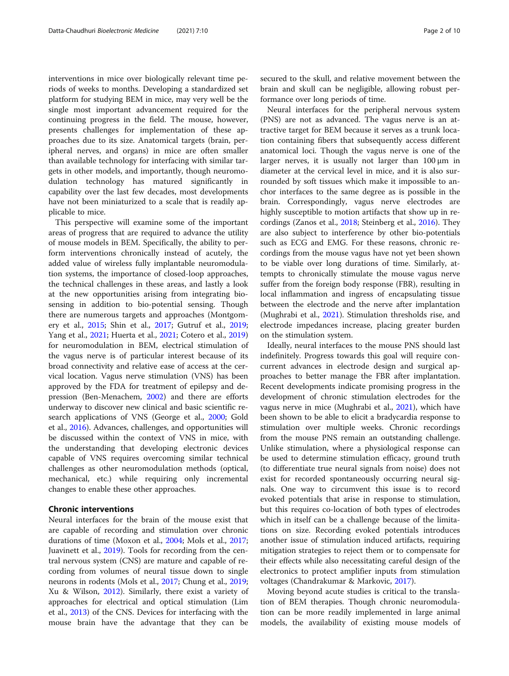interventions in mice over biologically relevant time periods of weeks to months. Developing a standardized set platform for studying BEM in mice, may very well be the single most important advancement required for the continuing progress in the field. The mouse, however, presents challenges for implementation of these approaches due to its size. Anatomical targets (brain, peripheral nerves, and organs) in mice are often smaller than available technology for interfacing with similar targets in other models, and importantly, though neuromodulation technology has matured significantly in capability over the last few decades, most developments have not been miniaturized to a scale that is readily applicable to mice.

This perspective will examine some of the important areas of progress that are required to advance the utility of mouse models in BEM. Specifically, the ability to perform interventions chronically instead of acutely, the added value of wireless fully implantable neuromodulation systems, the importance of closed-loop approaches, the technical challenges in these areas, and lastly a look at the new opportunities arising from integrating biosensing in addition to bio-potential sensing. Though there are numerous targets and approaches (Montgomery et al., [2015](#page-8-0); Shin et al., [2017;](#page-8-0) Gutruf et al., [2019](#page-7-0); Yang et al., [2021](#page-9-0); Huerta et al., [2021](#page-8-0); Cotero et al., [2019](#page-7-0)) for neuromodulation in BEM, electrical stimulation of the vagus nerve is of particular interest because of its broad connectivity and relative ease of access at the cervical location. Vagus nerve stimulation (VNS) has been approved by the FDA for treatment of epilepsy and depression (Ben-Menachem, [2002](#page-7-0)) and there are efforts underway to discover new clinical and basic scientific research applications of VNS (George et al., [2000](#page-7-0); Gold et al., [2016](#page-7-0)). Advances, challenges, and opportunities will be discussed within the context of VNS in mice, with the understanding that developing electronic devices capable of VNS requires overcoming similar technical challenges as other neuromodulation methods (optical, mechanical, etc.) while requiring only incremental changes to enable these other approaches.

## Chronic interventions

Neural interfaces for the brain of the mouse exist that are capable of recording and stimulation over chronic durations of time (Moxon et al., [2004](#page-8-0); Mols et al., [2017](#page-8-0); Juavinett et al., [2019\)](#page-8-0). Tools for recording from the central nervous system (CNS) are mature and capable of recording from volumes of neural tissue down to single neurons in rodents (Mols et al., [2017;](#page-8-0) Chung et al., [2019](#page-7-0); Xu & Wilson, [2012\)](#page-9-0). Similarly, there exist a variety of approaches for electrical and optical stimulation (Lim et al., [2013\)](#page-8-0) of the CNS. Devices for interfacing with the mouse brain have the advantage that they can be secured to the skull, and relative movement between the brain and skull can be negligible, allowing robust performance over long periods of time.

Neural interfaces for the peripheral nervous system (PNS) are not as advanced. The vagus nerve is an attractive target for BEM because it serves as a trunk location containing fibers that subsequently access different anatomical loci. Though the vagus nerve is one of the larger nerves, it is usually not larger than 100 μm in diameter at the cervical level in mice, and it is also surrounded by soft tissues which make it impossible to anchor interfaces to the same degree as is possible in the brain. Correspondingly, vagus nerve electrodes are highly susceptible to motion artifacts that show up in recordings (Zanos et al., [2018](#page-9-0); Steinberg et al., [2016\)](#page-8-0). They are also subject to interference by other bio-potentials such as ECG and EMG. For these reasons, chronic recordings from the mouse vagus have not yet been shown to be viable over long durations of time. Similarly, attempts to chronically stimulate the mouse vagus nerve suffer from the foreign body response (FBR), resulting in local inflammation and ingress of encapsulating tissue between the electrode and the nerve after implantation (Mughrabi et al., [2021](#page-8-0)). Stimulation thresholds rise, and electrode impedances increase, placing greater burden on the stimulation system.

Ideally, neural interfaces to the mouse PNS should last indefinitely. Progress towards this goal will require concurrent advances in electrode design and surgical approaches to better manage the FBR after implantation. Recent developments indicate promising progress in the development of chronic stimulation electrodes for the vagus nerve in mice (Mughrabi et al., [2021](#page-8-0)), which have been shown to be able to elicit a bradycardia response to stimulation over multiple weeks. Chronic recordings from the mouse PNS remain an outstanding challenge. Unlike stimulation, where a physiological response can be used to determine stimulation efficacy, ground truth (to differentiate true neural signals from noise) does not exist for recorded spontaneously occurring neural signals. One way to circumvent this issue is to record evoked potentials that arise in response to stimulation, but this requires co-location of both types of electrodes which in itself can be a challenge because of the limitations on size. Recording evoked potentials introduces another issue of stimulation induced artifacts, requiring mitigation strategies to reject them or to compensate for their effects while also necessitating careful design of the electronics to protect amplifier inputs from stimulation voltages (Chandrakumar & Markovic, [2017](#page-7-0)).

Moving beyond acute studies is critical to the translation of BEM therapies. Though chronic neuromodulation can be more readily implemented in large animal models, the availability of existing mouse models of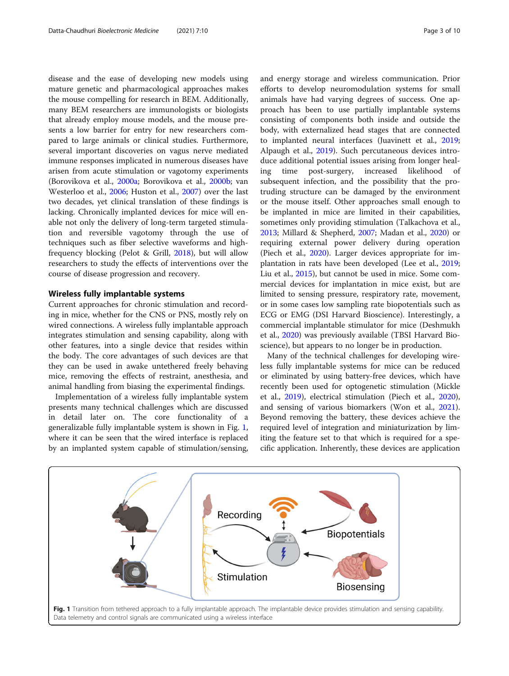disease and the ease of developing new models using mature genetic and pharmacological approaches makes the mouse compelling for research in BEM. Additionally, many BEM researchers are immunologists or biologists that already employ mouse models, and the mouse presents a low barrier for entry for new researchers compared to large animals or clinical studies. Furthermore, several important discoveries on vagus nerve mediated immune responses implicated in numerous diseases have arisen from acute stimulation or vagotomy experiments (Borovikova et al., [2000a](#page-7-0); Borovikova et al., [2000b;](#page-7-0) van Westerloo et al., [2006;](#page-8-0) Huston et al., [2007](#page-8-0)) over the last two decades, yet clinical translation of these findings is lacking. Chronically implanted devices for mice will enable not only the delivery of long-term targeted stimulation and reversible vagotomy through the use of techniques such as fiber selective waveforms and highfrequency blocking (Pelot & Grill, [2018](#page-8-0)), but will allow researchers to study the effects of interventions over the course of disease progression and recovery.

#### Wireless fully implantable systems

Current approaches for chronic stimulation and recording in mice, whether for the CNS or PNS, mostly rely on wired connections. A wireless fully implantable approach integrates stimulation and sensing capability, along with other features, into a single device that resides within the body. The core advantages of such devices are that they can be used in awake untethered freely behaving mice, removing the effects of restraint, anesthesia, and animal handling from biasing the experimental findings.

Implementation of a wireless fully implantable system presents many technical challenges which are discussed in detail later on. The core functionality of a generalizable fully implantable system is shown in Fig. 1, where it can be seen that the wired interface is replaced by an implanted system capable of stimulation/sensing, and energy storage and wireless communication. Prior efforts to develop neuromodulation systems for small animals have had varying degrees of success. One approach has been to use partially implantable systems consisting of components both inside and outside the body, with externalized head stages that are connected to implanted neural interfaces (Juavinett et al., [2019](#page-8-0); Alpaugh et al., [2019\)](#page-7-0). Such percutaneous devices introduce additional potential issues arising from longer healing time post-surgery, increased likelihood of subsequent infection, and the possibility that the protruding structure can be damaged by the environment or the mouse itself. Other approaches small enough to be implanted in mice are limited in their capabilities, sometimes only providing stimulation (Talkachova et al., [2013](#page-8-0); Millard & Shepherd, [2007;](#page-8-0) Madan et al., [2020\)](#page-8-0) or requiring external power delivery during operation (Piech et al., [2020](#page-8-0)). Larger devices appropriate for implantation in rats have been developed (Lee et al., [2019](#page-8-0); Liu et al., [2015\)](#page-8-0), but cannot be used in mice. Some commercial devices for implantation in mice exist, but are limited to sensing pressure, respiratory rate, movement, or in some cases low sampling rate biopotentials such as ECG or EMG (DSI Harvard Bioscience). Interestingly, a commercial implantable stimulator for mice (Deshmukh et al., [2020\)](#page-7-0) was previously available (TBSI Harvard Bioscience), but appears to no longer be in production.

Many of the technical challenges for developing wireless fully implantable systems for mice can be reduced or eliminated by using battery-free devices, which have recently been used for optogenetic stimulation (Mickle et al., [2019\)](#page-8-0), electrical stimulation (Piech et al., [2020](#page-8-0)), and sensing of various biomarkers (Won et al., [2021](#page-8-0)). Beyond removing the battery, these devices achieve the required level of integration and miniaturization by limiting the feature set to that which is required for a specific application. Inherently, these devices are application

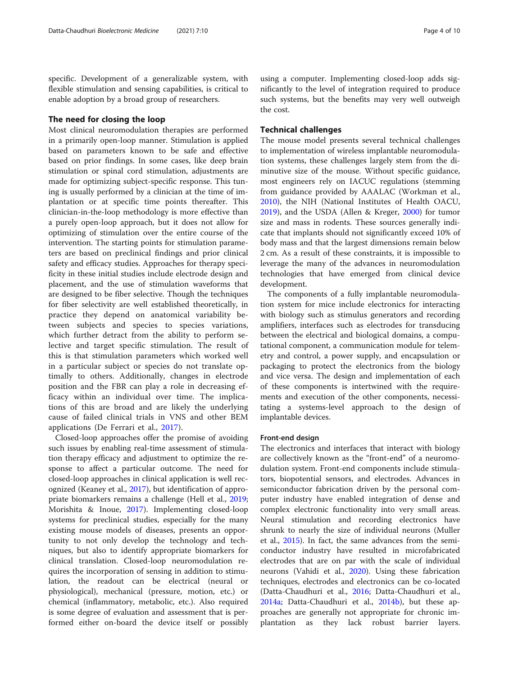specific. Development of a generalizable system, with flexible stimulation and sensing capabilities, is critical to enable adoption by a broad group of researchers.

## The need for closing the loop

Most clinical neuromodulation therapies are performed in a primarily open-loop manner. Stimulation is applied based on parameters known to be safe and effective based on prior findings. In some cases, like deep brain stimulation or spinal cord stimulation, adjustments are made for optimizing subject-specific response. This tuning is usually performed by a clinician at the time of implantation or at specific time points thereafter. This clinician-in-the-loop methodology is more effective than a purely open-loop approach, but it does not allow for optimizing of stimulation over the entire course of the intervention. The starting points for stimulation parameters are based on preclinical findings and prior clinical safety and efficacy studies. Approaches for therapy specificity in these initial studies include electrode design and placement, and the use of stimulation waveforms that are designed to be fiber selective. Though the techniques for fiber selectivity are well established theoretically, in practice they depend on anatomical variability between subjects and species to species variations, which further detract from the ability to perform selective and target specific stimulation. The result of this is that stimulation parameters which worked well in a particular subject or species do not translate optimally to others. Additionally, changes in electrode position and the FBR can play a role in decreasing efficacy within an individual over time. The implications of this are broad and are likely the underlying cause of failed clinical trials in VNS and other BEM applications (De Ferrari et al., [2017\)](#page-7-0).

Closed-loop approaches offer the promise of avoiding such issues by enabling real-time assessment of stimulation therapy efficacy and adjustment to optimize the response to affect a particular outcome. The need for closed-loop approaches in clinical application is well recognized (Keaney et al., [2017](#page-8-0)), but identification of appropriate biomarkers remains a challenge (Hell et al., [2019](#page-7-0); Morishita & Inoue, [2017\)](#page-8-0). Implementing closed-loop systems for preclinical studies, especially for the many existing mouse models of diseases, presents an opportunity to not only develop the technology and techniques, but also to identify appropriate biomarkers for clinical translation. Closed-loop neuromodulation requires the incorporation of sensing in addition to stimulation, the readout can be electrical (neural or physiological), mechanical (pressure, motion, etc.) or chemical (inflammatory, metabolic, etc.). Also required is some degree of evaluation and assessment that is performed either on-board the device itself or possibly

using a computer. Implementing closed-loop adds significantly to the level of integration required to produce such systems, but the benefits may very well outweigh the cost.

## Technical challenges

The mouse model presents several technical challenges to implementation of wireless implantable neuromodulation systems, these challenges largely stem from the diminutive size of the mouse. Without specific guidance, most engineers rely on IACUC regulations (stemming from guidance provided by AAALAC (Workman et al., [2010](#page-8-0)), the NIH (National Institutes of Health OACU, [2019](#page-7-0)), and the USDA (Allen & Kreger, [2000\)](#page-8-0) for tumor size and mass in rodents. These sources generally indicate that implants should not significantly exceed 10% of body mass and that the largest dimensions remain below 2 cm. As a result of these constraints, it is impossible to leverage the many of the advances in neuromodulation technologies that have emerged from clinical device development.

The components of a fully implantable neuromodulation system for mice include electronics for interacting with biology such as stimulus generators and recording amplifiers, interfaces such as electrodes for transducing between the electrical and biological domains, a computational component, a communication module for telemetry and control, a power supply, and encapsulation or packaging to protect the electronics from the biology and vice versa. The design and implementation of each of these components is intertwined with the requirements and execution of the other components, necessitating a systems-level approach to the design of implantable devices.

## Front-end design

The electronics and interfaces that interact with biology are collectively known as the "front-end" of a neuromodulation system. Front-end components include stimulators, biopotential sensors, and electrodes. Advances in semiconductor fabrication driven by the personal computer industry have enabled integration of dense and complex electronic functionality into very small areas. Neural stimulation and recording electronics have shrunk to nearly the size of individual neurons (Muller et al., [2015\)](#page-8-0). In fact, the same advances from the semiconductor industry have resulted in microfabricated electrodes that are on par with the scale of individual neurons (Vahidi et al., [2020](#page-8-0)). Using these fabrication techniques, electrodes and electronics can be co-located (Datta-Chaudhuri et al., [2016;](#page-7-0) Datta-Chaudhuri et al., [2014a;](#page-7-0) Datta-Chaudhuri et al., [2014b\)](#page-7-0), but these approaches are generally not appropriate for chronic implantation as they lack robust barrier layers.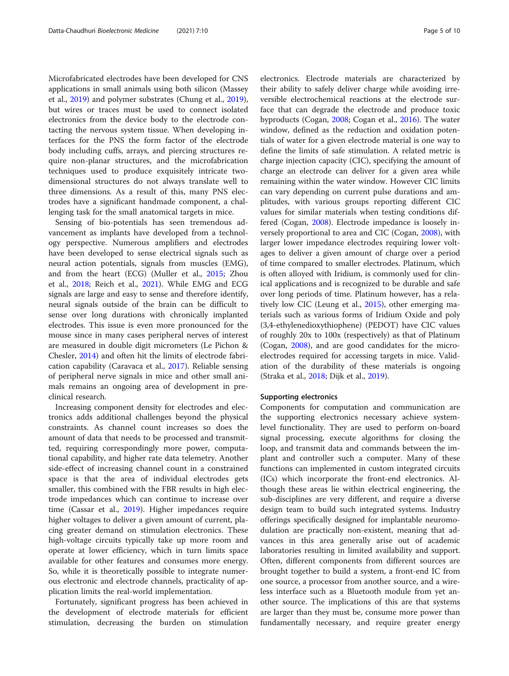Microfabricated electrodes have been developed for CNS applications in small animals using both silicon (Massey et al., [2019\)](#page-8-0) and polymer substrates (Chung et al., [2019](#page-7-0)), but wires or traces must be used to connect isolated electronics from the device body to the electrode contacting the nervous system tissue. When developing interfaces for the PNS the form factor of the electrode body including cuffs, arrays, and piercing structures require non-planar structures, and the microfabrication techniques used to produce exquisitely intricate twodimensional structures do not always translate well to three dimensions. As a result of this, many PNS electrodes have a significant handmade component, a challenging task for the small anatomical targets in mice.

Sensing of bio-potentials has seen tremendous advancement as implants have developed from a technology perspective. Numerous amplifiers and electrodes have been developed to sense electrical signals such as neural action potentials, signals from muscles (EMG), and from the heart (ECG) (Muller et al., [2015](#page-8-0); Zhou et al., [2018](#page-9-0); Reich et al., [2021\)](#page-8-0). While EMG and ECG signals are large and easy to sense and therefore identify, neural signals outside of the brain can be difficult to sense over long durations with chronically implanted electrodes. This issue is even more pronounced for the mouse since in many cases peripheral nerves of interest are measured in double digit micrometers (Le Pichon & Chesler, [2014](#page-8-0)) and often hit the limits of electrode fabrication capability (Caravaca et al., [2017](#page-7-0)). Reliable sensing of peripheral nerve signals in mice and other small animals remains an ongoing area of development in preclinical research.

Increasing component density for electrodes and electronics adds additional challenges beyond the physical constraints. As channel count increases so does the amount of data that needs to be processed and transmitted, requiring correspondingly more power, computational capability, and higher rate data telemetry. Another side-effect of increasing channel count in a constrained space is that the area of individual electrodes gets smaller, this combined with the FBR results in high electrode impedances which can continue to increase over time (Cassar et al., [2019](#page-7-0)). Higher impedances require higher voltages to deliver a given amount of current, placing greater demand on stimulation electronics. These high-voltage circuits typically take up more room and operate at lower efficiency, which in turn limits space available for other features and consumes more energy. So, while it is theoretically possible to integrate numerous electronic and electrode channels, practicality of application limits the real-world implementation.

Fortunately, significant progress has been achieved in the development of electrode materials for efficient stimulation, decreasing the burden on stimulation

electronics. Electrode materials are characterized by their ability to safely deliver charge while avoiding irreversible electrochemical reactions at the electrode surface that can degrade the electrode and produce toxic byproducts (Cogan, [2008;](#page-7-0) Cogan et al., [2016\)](#page-7-0). The water window, defined as the reduction and oxidation potentials of water for a given electrode material is one way to define the limits of safe stimulation. A related metric is charge injection capacity (CIC), specifying the amount of charge an electrode can deliver for a given area while remaining within the water window. However CIC limits can vary depending on current pulse durations and amplitudes, with various groups reporting different CIC values for similar materials when testing conditions differed (Cogan, [2008\)](#page-7-0). Electrode impedance is loosely inversely proportional to area and CIC (Cogan, [2008](#page-7-0)), with larger lower impedance electrodes requiring lower voltages to deliver a given amount of charge over a period of time compared to smaller electrodes. Platinum, which is often alloyed with Iridium, is commonly used for clinical applications and is recognized to be durable and safe over long periods of time. Platinum however, has a relatively low CIC (Leung et al., [2015](#page-8-0)), other emerging materials such as various forms of Iridium Oxide and poly (3,4-ethylenedioxythiophene) (PEDOT) have CIC values of roughly 20x to 100x (respectively) as that of Platinum (Cogan, [2008](#page-7-0)), and are good candidates for the microelectrodes required for accessing targets in mice. Validation of the durability of these materials is ongoing (Straka et al., [2018;](#page-8-0) Dijk et al., [2019](#page-7-0)).

#### Supporting electronics

Components for computation and communication are the supporting electronics necessary achieve systemlevel functionality. They are used to perform on-board signal processing, execute algorithms for closing the loop, and transmit data and commands between the implant and controller such a computer. Many of these functions can implemented in custom integrated circuits (ICs) which incorporate the front-end electronics. Although these areas lie within electrical engineering, the sub-disciplines are very different, and require a diverse design team to build such integrated systems. Industry offerings specifically designed for implantable neuromodulation are practically non-existent, meaning that advances in this area generally arise out of academic laboratories resulting in limited availability and support. Often, different components from different sources are brought together to build a system, a front-end IC from one source, a processor from another source, and a wireless interface such as a Bluetooth module from yet another source. The implications of this are that systems are larger than they must be, consume more power than fundamentally necessary, and require greater energy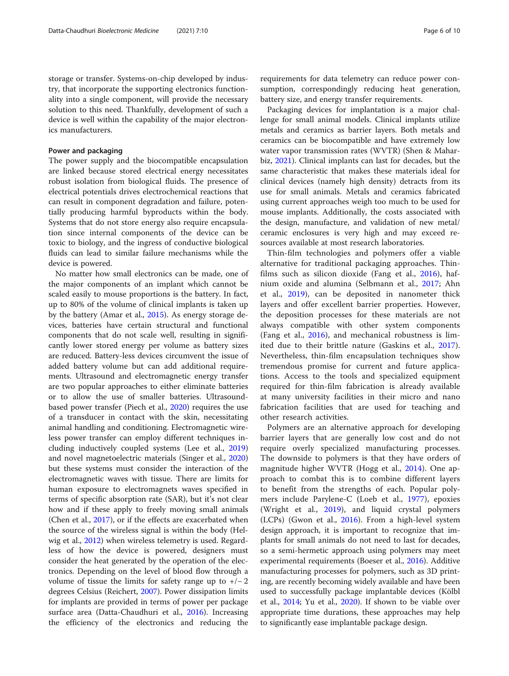storage or transfer. Systems-on-chip developed by industry, that incorporate the supporting electronics functionality into a single component, will provide the necessary solution to this need. Thankfully, development of such a device is well within the capability of the major electronics manufacturers.

#### Power and packaging

The power supply and the biocompatible encapsulation are linked because stored electrical energy necessitates robust isolation from biological fluids. The presence of electrical potentials drives electrochemical reactions that can result in component degradation and failure, potentially producing harmful byproducts within the body. Systems that do not store energy also require encapsulation since internal components of the device can be toxic to biology, and the ingress of conductive biological fluids can lead to similar failure mechanisms while the device is powered.

No matter how small electronics can be made, one of the major components of an implant which cannot be scaled easily to mouse proportions is the battery. In fact, up to 80% of the volume of clinical implants is taken up by the battery (Amar et al., [2015\)](#page-7-0). As energy storage devices, batteries have certain structural and functional components that do not scale well, resulting in significantly lower stored energy per volume as battery sizes are reduced. Battery-less devices circumvent the issue of added battery volume but can add additional requirements. Ultrasound and electromagnetic energy transfer are two popular approaches to either eliminate batteries or to allow the use of smaller batteries. Ultrasoundbased power transfer (Piech et al., [2020\)](#page-8-0) requires the use of a transducer in contact with the skin, necessitating animal handling and conditioning. Electromagnetic wireless power transfer can employ different techniques including inductively coupled systems (Lee et al., [2019](#page-8-0)) and novel magnetoelectric materials (Singer et al., [2020](#page-8-0)) but these systems must consider the interaction of the electromagnetic waves with tissue. There are limits for human exposure to electromagnets waves specified in terms of specific absorption rate (SAR), but it's not clear how and if these apply to freely moving small animals (Chen et al., [2017\)](#page-7-0), or if the effects are exacerbated when the source of the wireless signal is within the body (Helwig et al., [2012](#page-7-0)) when wireless telemetry is used. Regardless of how the device is powered, designers must consider the heat generated by the operation of the electronics. Depending on the level of blood flow through a volume of tissue the limits for safety range up to  $+/-2$ degrees Celsius (Reichert, [2007](#page-8-0)). Power dissipation limits for implants are provided in terms of power per package surface area (Datta-Chaudhuri et al., [2016](#page-7-0)). Increasing the efficiency of the electronics and reducing the

requirements for data telemetry can reduce power consumption, correspondingly reducing heat generation, battery size, and energy transfer requirements.

Packaging devices for implantation is a major challenge for small animal models. Clinical implants utilize metals and ceramics as barrier layers. Both metals and ceramics can be biocompatible and have extremely low water vapor transmission rates (WVTR) (Shen & Maharbiz, [2021\)](#page-8-0). Clinical implants can last for decades, but the same characteristic that makes these materials ideal for clinical devices (namely high density) detracts from its use for small animals. Metals and ceramics fabricated using current approaches weigh too much to be used for mouse implants. Additionally, the costs associated with the design, manufacture, and validation of new metal/ ceramic enclosures is very high and may exceed resources available at most research laboratories.

Thin-film technologies and polymers offer a viable alternative for traditional packaging approaches. Thinfilms such as silicon dioxide (Fang et al., [2016\)](#page-7-0), hafnium oxide and alumina (Selbmann et al., [2017;](#page-8-0) Ahn et al., [2019\)](#page-7-0), can be deposited in nanometer thick layers and offer excellent barrier properties. However, the deposition processes for these materials are not always compatible with other system components (Fang et al., [2016\)](#page-7-0), and mechanical robustness is limited due to their brittle nature (Gaskins et al., [2017](#page-7-0)). Nevertheless, thin-film encapsulation techniques show tremendous promise for current and future applications. Access to the tools and specialized equipment required for thin-film fabrication is already available at many university facilities in their micro and nano fabrication facilities that are used for teaching and other research activities.

Polymers are an alternative approach for developing barrier layers that are generally low cost and do not require overly specialized manufacturing processes. The downside to polymers is that they have orders of magnitude higher WVTR (Hogg et al., [2014\)](#page-7-0). One approach to combat this is to combine different layers to benefit from the strengths of each. Popular polymers include Parylene-C (Loeb et al., [1977\)](#page-8-0), epoxies (Wright et al., [2019](#page-9-0)), and liquid crystal polymers (LCPs) (Gwon et al., [2016\)](#page-7-0). From a high-level system design approach, it is important to recognize that implants for small animals do not need to last for decades, so a semi-hermetic approach using polymers may meet experimental requirements (Boeser et al., [2016\)](#page-7-0). Additive manufacturing processes for polymers, such as 3D printing, are recently becoming widely available and have been used to successfully package implantable devices (Kölbl et al., [2014;](#page-8-0) Yu et al., [2020](#page-9-0)). If shown to be viable over appropriate time durations, these approaches may help to significantly ease implantable package design.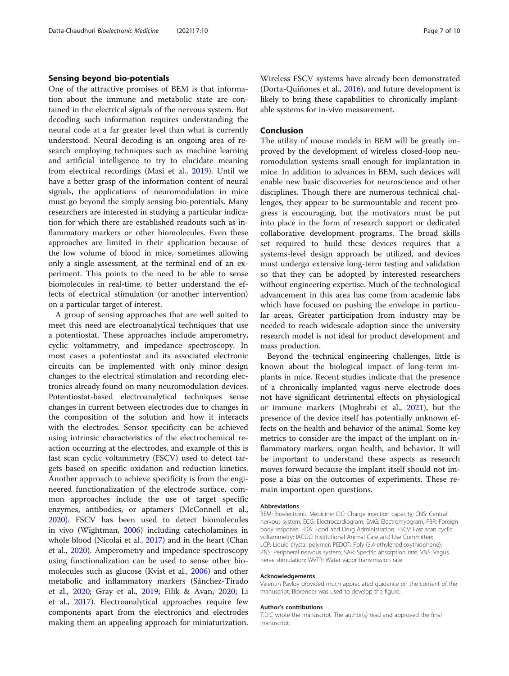## Sensing beyond bio-potentials

One of the attractive promises of BEM is that information about the immune and metabolic state are contained in the electrical signals of the nervous system. But decoding such information requires understanding the neural code at a far greater level than what is currently understood. Neural decoding is an ongoing area of research employing techniques such as machine learning and artificial intelligence to try to elucidate meaning from electrical recordings (Masi et al., [2019](#page-8-0)). Until we have a better grasp of the information content of neural signals, the applications of neuromodulation in mice must go beyond the simply sensing bio-potentials. Many researchers are interested in studying a particular indication for which there are established readouts such as inflammatory markers or other biomolecules. Even these approaches are limited in their application because of the low volume of blood in mice, sometimes allowing only a single assessment, at the terminal end of an experiment. This points to the need to be able to sense biomolecules in real-time, to better understand the effects of electrical stimulation (or another intervention) on a particular target of interest.

A group of sensing approaches that are well suited to meet this need are electroanalytical techniques that use a potentiostat. These approaches include amperometry, cyclic voltammetry, and impedance spectroscopy. In most cases a potentiostat and its associated electronic circuits can be implemented with only minor design changes to the electrical stimulation and recording electronics already found on many neuromodulation devices. Potentiostat-based electroanalytical techniques sense changes in current between electrodes due to changes in the composition of the solution and how it interacts with the electrodes. Sensor specificity can be achieved using intrinsic characteristics of the electrochemical reaction occurring at the electrodes, and example of this is fast scan cyclic voltammetry (FSCV) used to detect targets based on specific oxidation and reduction kinetics. Another approach to achieve specificity is from the engineered functionalization of the electrode surface, common approaches include the use of target specific enzymes, antibodies, or aptamers (McConnell et al., [2020](#page-8-0)). FSCV has been used to detect biomolecules in vivo (Wightman, [2006](#page-8-0)) including catecholamines in whole blood (Nicolai et al., [2017](#page-8-0)) and in the heart (Chan et al., [2020](#page-7-0)). Amperometry and impedance spectroscopy using functionalization can be used to sense other biomolecules such as glucose (Kvist et al., [2006](#page-8-0)) and other metabolic and inflammatory markers (Sánchez-Tirado et al., [2020](#page-8-0); Gray et al., [2019](#page-7-0); Filik & Avan, [2020](#page-7-0); Li et al., [2017](#page-8-0)). Electroanalytical approaches require few components apart from the electronics and electrodes making them an appealing approach for miniaturization.

Wireless FSCV systems have already been demonstrated (Dorta-Quiñones et al., [2016](#page-7-0)), and future development is likely to bring these capabilities to chronically implantable systems for in-vivo measurement.

## Conclusion

The utility of mouse models in BEM will be greatly improved by the development of wireless closed-loop neuromodulation systems small enough for implantation in mice. In addition to advances in BEM, such devices will enable new basic discoveries for neuroscience and other disciplines. Though there are numerous technical challenges, they appear to be surmountable and recent progress is encouraging, but the motivators must be put into place in the form of research support or dedicated collaborative development programs. The broad skills set required to build these devices requires that a systems-level design approach be utilized, and devices must undergo extensive long-term testing and validation so that they can be adopted by interested researchers without engineering expertise. Much of the technological advancement in this area has come from academic labs which have focused on pushing the envelope in particular areas. Greater participation from industry may be needed to reach widescale adoption since the university research model is not ideal for product development and mass production.

Beyond the technical engineering challenges, little is known about the biological impact of long-term implants in mice. Recent studies indicate that the presence of a chronically implanted vagus nerve electrode does not have significant detrimental effects on physiological or immune markers (Mughrabi et al., [2021\)](#page-8-0), but the presence of the device itself has potentially unknown effects on the health and behavior of the animal. Some key metrics to consider are the impact of the implant on inflammatory markers, organ health, and behavior. It will be important to understand these aspects as research moves forward because the implant itself should not impose a bias on the outcomes of experiments. These remain important open questions.

#### Abbreviations

BEM: Bioelectronic Medicine; CIC: Charge injection capacity; CNS: Central nervous system; ECG: Electrocardiogram; EMG: Electromyogram; FBR: Foreign body response; FDA: Food and Drug Administration; FSCV: Fast scan cyclic voltammetry; IACUC: Institutional Animal Care and Use Committee; LCP: Liquid crystal polymer; PEDOT: Poly (3,4-ethylenedioxythiophene); PNS: Peripheral nervous system; SAR: Specific absorption rate; VNS: Vagus nerve stimulation; WVTR: Water vapor transmission rate

#### Acknowledgements

Valentin Pavlov provided much appreciated guidance on the content of the manuscript. Biorender was used to develop the figure.

#### Author's contributions

T.D.C wrote the manuscript. The author(s) read and approved the final manuscript.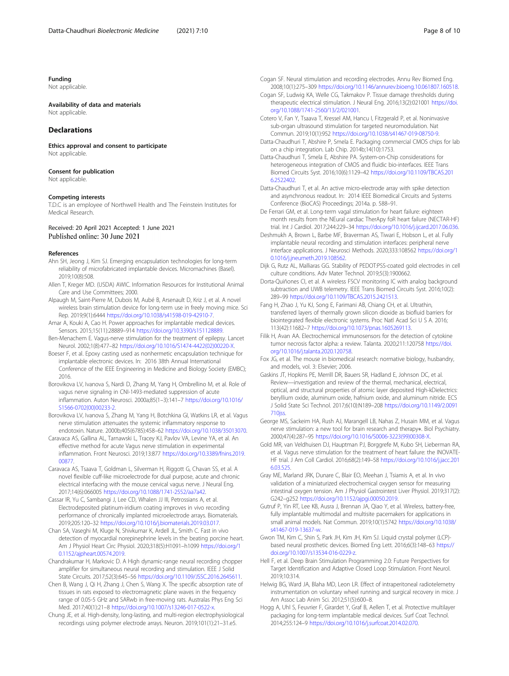#### <span id="page-7-0"></span>Funding

Not applicable.

## Availability of data and materials

Not applicable

## Declarations

Ethics approval and consent to participate Not applicable.

## Consent for publication

Not applicable.

#### Competing interests

T.D.C is an employee of Northwell Health and The Feinstein Institutes for Medical Research.

#### Received: 20 April 2021 Accepted: 1 June 2021 Published online: 30 June 2021

#### References

- Ahn SH, Jeong J, Kim SJ. Emerging encapsulation technologies for long-term reliability of microfabricated implantable devices. Micromachines (Basel). 2019;10(8):508.
- Allen T, Kreger MD. (USDA) AWIC. Information Resources for Institutional Animal Care and Use Committees; 2000.
- Alpaugh M, Saint-Pierre M, Dubois M, Aubé B, Arsenault D, Kriz J, et al. A novel wireless brain stimulation device for long-term use in freely moving mice. Sci Rep. 2019;9(1):6444 [https://doi.org/10.1038/s41598-019-42910-7.](https://doi.org/10.1038/s41598-019-42910-7)
- Amar A, Kouki A, Cao H. Power approaches for implantable medical devices. Sensors. 2015;15(11):28889–914 <https://doi.org/10.3390/s151128889>.
- Ben-Menachem E. Vagus-nerve stimulation for the treatment of epilepsy. Lancet Neurol. 2002;1(8):477–82 [https://doi.org/10.1016/S1474-4422\(02\)00220-X.](https://doi.org/10.1016/S1474-4422(02)00220-X)
- Boeser F, et al. Epoxy casting used as nonhermetic encapsulation technique for implantable electronic devices. In: 2016 38th Annual International Conference of the IEEE Engineering in Medicine and Biology Society (EMBC); 2016.
- Borovikova LV, Ivanova S, Nardi D, Zhang M, Yang H, Ombrellino M, et al. Role of vagus nerve signaling in CNI-1493-mediated suppression of acute inflammation. Auton Neurosci. 2000a;85(1–3):141–7 [https://doi.org/10.1016/](https://doi.org/10.1016/S1566-0702(00)00233-2) [S1566-0702\(00\)00233-2](https://doi.org/10.1016/S1566-0702(00)00233-2).
- Borovikova LV, Ivanova S, Zhang M, Yang H, Botchkina GI, Watkins LR, et al. Vagus nerve stimulation attenuates the systemic inflammatory response to endotoxin. Nature. 2000b;405(6785):458–62 <https://doi.org/10.1038/35013070>.
- Caravaca AS, Gallina AL, Tarnawski L, Tracey KJ, Pavlov VA, Levine YA, et al. An effective method for acute Vagus nerve stimulation in experimental inflammation. Front Neurosci. 2019;13:877 [https://doi.org/10.3389/fnins.2019.](https://doi.org/10.3389/fnins.2019.00877) [00877.](https://doi.org/10.3389/fnins.2019.00877)
- Caravaca AS, Tsaava T, Goldman L, Silverman H, Riggott G, Chavan SS, et al. A novel flexible cuff-like microelectrode for dual purpose, acute and chronic electrical interfacing with the mouse cervical vagus nerve. J Neural Eng. 2017;14(6):066005 <https://doi.org/10.1088/1741-2552/aa7a42>.
- Cassar IR, Yu C, Sambangi J, Lee CD, Whalen JJ III, Petrossians A, et al. Electrodeposited platinum-iridium coating improves in vivo recording performance of chronically implanted microelectrode arrays. Biomaterials. 2019;205:120–32 <https://doi.org/10.1016/j.biomaterials.2019.03.017>.
- Chan SA, Vaseghi M, Kluge N, Shivkumar K, Ardell JL, Smith C. Fast in vivo detection of myocardial norepinephrine levels in the beating porcine heart. Am J Physiol Heart Circ Physiol. 2020;318(5):H1091–h1099 [https://doi.org/1](https://doi.org/10.1152/ajpheart.00574.2019) [0.1152/ajpheart.00574.2019.](https://doi.org/10.1152/ajpheart.00574.2019)
- Chandrakumar H, Markovic D. A High dynamic-range neural recording chopper amplifier for simultaneous neural recording and stimulation. IEEE J Solid State Circuits. 2017;52(3):645–56 [https://doi.org/10.1109/JSSC.2016.2645611.](https://doi.org/10.1109/JSSC.2016.2645611)
- Chen B, Wang J, Qi H, Zhang J, Chen S, Wang X. The specific absorption rate of tissues in rats exposed to electromagnetic plane waves in the frequency range of 0.05-5 GHz and SARwb in free-moving rats. Australas Phys Eng Sci Med. 2017;40(1):21–8 [https://doi.org/10.1007/s13246-017-0522-x.](https://doi.org/10.1007/s13246-017-0522-x)
- Chung JE, et al. High-density, long-lasting, and multi-region electrophysiological recordings using polymer electrode arrays. Neuron. 2019;101(1):21–31.e5.

Cogan SF. Neural stimulation and recording electrodes. Annu Rev Biomed Eng. 2008;10(1):275–309 [https://doi.org/10.1146/annurev.bioeng.10.061807.160518.](https://doi.org/10.1146/annurev.bioeng.10.061807.160518)

- Cogan SF, Ludwig KA, Welle CG, Takmakov P. Tissue damage thresholds during therapeutic electrical stimulation. J Neural Eng. 2016;13(2):021001 [https://doi.](https://doi.org/10.1088/1741-2560/13/2/021001) [org/10.1088/1741-2560/13/2/021001](https://doi.org/10.1088/1741-2560/13/2/021001).
- Cotero V, Fan Y, Tsaava T, Kressel AM, Hancu I, Fitzgerald P, et al. Noninvasive sub-organ ultrasound stimulation for targeted neuromodulation. Nat Commun. 2019;10(1):952 <https://doi.org/10.1038/s41467-019-08750-9>.
- Datta-Chaudhuri T, Abshire P, Smela E. Packaging commercial CMOS chips for lab on a chip integration. Lab Chip. 2014b;14(10):1753.
- Datta-Chaudhuri T, Smela E, Abshire PA. System-on-Chip considerations for heterogeneous integration of CMOS and fluidic bio-interfaces. IEEE Trans Biomed Circuits Syst. 2016;10(6):1129–42 [https://doi.org/10.1109/TBCAS.201](https://doi.org/10.1109/TBCAS.2016.2522402) [6.2522402](https://doi.org/10.1109/TBCAS.2016.2522402).
- Datta-Chaudhuri T, et al. An active micro-electrode array with spike detection and asynchronous readout. In: 2014 IEEE Biomedical Circuits and Systems Conference (BioCAS) Proceedings; 2014a. p. 588–91.
- De Ferrari GM, et al. Long-term vagal stimulation for heart failure: eighteen month results from the NEural cardiac TherApy foR heart failure (NECTAR-HF) trial. Int J Cardiol. 2017;244:229–34 <https://doi.org/10.1016/j.ijcard.2017.06.036>.
- Deshmukh A, Brown L, Barbe MF, Braverman AS, Tiwari E, Hobson L, et al. Fully implantable neural recording and stimulation interfaces: peripheral nerve interface applications. J Neurosci Methods. 2020;333:108562 [https://doi.org/1](https://doi.org/10.1016/j.jneumeth.2019.108562) [0.1016/j.jneumeth.2019.108562](https://doi.org/10.1016/j.jneumeth.2019.108562).
- Dijk G, Rutz AL, Malliaras GG. Stability of PEDOT:PSS-coated gold electrodes in cell culture conditions. Adv Mater Technol. 2019;5(3):1900662.
- Dorta-Quiñones CI, et al. A wireless FSCV monitoring IC with analog background subtraction and UWB telemetry. IEEE Trans Biomed Circuits Syst. 2016;10(2): 289–99 [https://doi.org/10.1109/TBCAS.2015.2421513.](https://doi.org/10.1109/TBCAS.2015.2421513)
- Fang H, Zhao J, Yu KJ, Song E, Farimani AB, Chiang CH, et al. Ultrathin, transferred layers of thermally grown silicon dioxide as biofluid barriers for biointegrated flexible electronic systems. Proc Natl Acad Sci U S A. 2016; 113(42):11682–7 [https://doi.org/10.1073/pnas.1605269113.](https://doi.org/10.1073/pnas.1605269113)
- Filik H, Avan AA. Electrochemical immunosensors for the detection of cytokine tumor necrosis factor alpha: a review. Talanta. 2020;211:120758 [https://doi.](https://doi.org/10.1016/j.talanta.2020.120758) [org/10.1016/j.talanta.2020.120758](https://doi.org/10.1016/j.talanta.2020.120758).
- Fox JG, et al. The mouse in biomedical research: normative biology, husbandry, and models, vol. 3: Elsevier; 2006.
- Gaskins JT, Hopkins PE, Merrill DR, Bauers SR, Hadland E, Johnson DC, et al. Review—investigation and review of the thermal, mechanical, electrical, optical, and structural properties of atomic layer deposited High-kDielectrics: beryllium oxide, aluminum oxide, hafnium oxide, and aluminum nitride. ECS J Solid State Sci Technol. 2017;6(10):N189–208 [https://doi.org/10.1149/2.0091](https://doi.org/10.1149/2.0091710jss) [710jss.](https://doi.org/10.1149/2.0091710jss)
- George MS, Sackeim HA, Rush AJ, Marangell LB, Nahas Z, Husain MM, et al. Vagus nerve stimulation: a new tool for brain research and therapy∗. Biol Psychiatry. 2000;47(4):287–95 [https://doi.org/10.1016/S0006-3223\(99\)00308-X.](https://doi.org/10.1016/S0006-3223(99)00308-X)
- Gold MR, van Veldhuisen DJ, Hauptman PJ, Borggrefe M, Kubo SH, Lieberman RA, et al. Vagus nerve stimulation for the treatment of heart failure: the INOVATE-HF trial. J Am Coll Cardiol. 2016;68(2):149–58 [https://doi.org/10.1016/j.jacc.201](https://doi.org/10.1016/j.jacc.2016.03.525) [6.03.525.](https://doi.org/10.1016/j.jacc.2016.03.525)
- Gray ME, Marland JRK, Dunare C, Blair EO, Meehan J, Tsiamis A, et al. In vivo validation of a miniaturized electrochemical oxygen sensor for measuring intestinal oxygen tension. Am J Physiol Gastrointest Liver Physiol. 2019;317(2): G242–g252 <https://doi.org/10.1152/ajpgi.00050.2019>.
- Gutruf P, Yin RT, Lee KB, Ausra J, Brennan JA, Qiao Y, et al. Wireless, battery-free, fully implantable multimodal and multisite pacemakers for applications in small animal models. Nat Commun. 2019;10(1):5742 [https://doi.org/10.1038/](https://doi.org/10.1038/s41467-019-13637-w) [s41467-019-13637-w](https://doi.org/10.1038/s41467-019-13637-w).
- Gwon TM, Kim C, Shin S, Park JH, Kim JH, Kim SJ. Liquid crystal polymer (LCP) based neural prosthetic devices. Biomed Eng Lett. 2016;6(3):148–63 [https://](https://doi.org/10.1007/s13534-016-0229-z) [doi.org/10.1007/s13534-016-0229-z.](https://doi.org/10.1007/s13534-016-0229-z)
- Hell F, et al. Deep Brain Stimulation Programming 2.0: Future Perspectives for Target Identification and Adaptive Closed Loop Stimulation. Front Neurol. 2019;10:314.
- Helwig BG, Ward JA, Blaha MD, Leon LR. Effect of intraperitoneal radiotelemetry instrumentation on voluntary wheel running and surgical recovery in mice. J Am Assoc Lab Anim Sci. 2012;51(5):600–8.
- Hogg A, Uhl S, Feuvrier F, Girardet Y, Graf B, Aellen T, et al. Protective multilayer packaging for long-term implantable medical devices. Surf Coat Technol. 2014;255:124–9 [https://doi.org/10.1016/j.surfcoat.2014.02.070.](https://doi.org/10.1016/j.surfcoat.2014.02.070)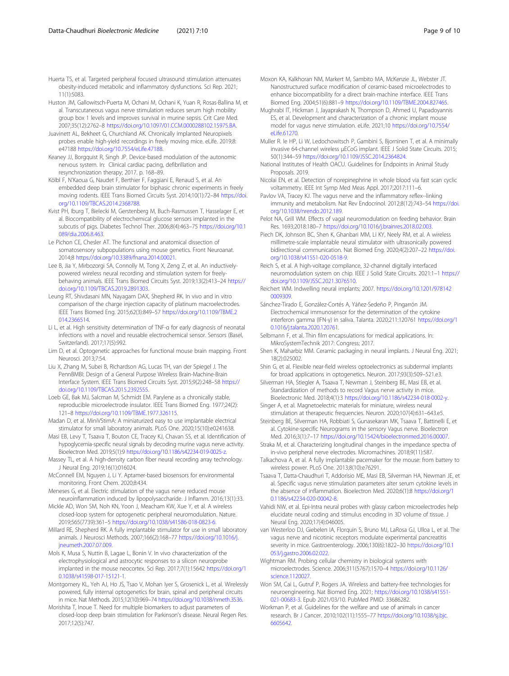<span id="page-8-0"></span>Huerta TS, et al. Targeted peripheral focused ultrasound stimulation attenuates obesity-induced metabolic and inflammatory dysfunctions. Sci Rep. 2021; 11(1):5083.

Huston JM, Gallowitsch-Puerta M, Ochani M, Ochani K, Yuan R, Rosas-Ballina M, et al. Transcutaneous vagus nerve stimulation reduces serum high mobility group box 1 levels and improves survival in murine sepsis. Crit Care Med. 2007;35(12):2762–8 <https://doi.org/10.1097/01.CCM.0000288102.15975.BA>.

- Juavinett AL, Bekheet G, Churchland AK. Chronically implanted Neuropixels probes enable high-yield recordings in freely moving mice. eLife. 2019;8: e47188 <https://doi.org/10.7554/eLife.47188>.
- Keaney JJ, Borgquist R, Singh JP. Device-based modulation of the autonomic nervous system. In: Clinical cardiac pacing, defibrillation and resynchronization therapy; 2017. p. 168–89.
- Kölbl F, N'Kaoua G, Naudet F, Berthier F, Faggiani E, Renaud S, et al. An embedded deep brain stimulator for biphasic chronic experiments in freely moving rodents. IEEE Trans Biomed Circuits Syst. 2014;10(1):72–84 [https://doi.](https://doi.org/10.1109/TBCAS.2014.2368788) [org/10.1109/TBCAS.2014.2368788](https://doi.org/10.1109/TBCAS.2014.2368788).
- Kvist PH, Iburg T, Bielecki M, Gerstenberg M, Buch-Rasmussen T, Hasselager E, et al. Biocompatibility of electrochemical glucose sensors implanted in the subcutis of pigs. Diabetes Technol Ther. 2006;8(4):463–75 [https://doi.org/10.1](https://doi.org/10.1089/dia.2006.8.463) [089/dia.2006.8.463.](https://doi.org/10.1089/dia.2006.8.463)
- Le Pichon CE, Chesler AT. The functional and anatomical dissection of somatosensory subpopulations using mouse genetics. Front Neuroanat. 2014;8 <https://doi.org/10.3389/fnana.2014.00021>.
- Lee B, Jia Y, Mirbozorgi SA, Connolly M, Tong X, Zeng Z, et al. An inductivelypowered wireless neural recording and stimulation system for freelybehaving animals. IEEE Trans Biomed Circuits Syst. 2019;13(2):413–24 [https://](https://doi.org/10.1109/TBCAS.2019.2891303) [doi.org/10.1109/TBCAS.2019.2891303](https://doi.org/10.1109/TBCAS.2019.2891303).
- Leung RT, Shivdasani MN, Nayagam DAX, Shepherd RK. In vivo and in vitro comparison of the charge injection capacity of platinum macroelectrodes. IEEE Trans Biomed Eng. 2015;62(3):849–57 [https://doi.org/10.1109/TBME.2](https://doi.org/10.1109/TBME.2014.2366514) [014.2366514](https://doi.org/10.1109/TBME.2014.2366514).
- Li L, et al. High sensitivity determination of TNF-α for early diagnosis of neonatal infections with a novel and reusable electrochemical sensor. Sensors (Basel, Switzerland). 2017;17(5):992.
- Lim D, et al. Optogenetic approaches for functional mouse brain mapping. Front Neurosci. 2013;7:54.
- Liu X, Zhang M, Subei B, Richardson AG, Lucas TH, van der Spiegel J. The PennBMBI: Design of a General Purpose Wireless Brain-Machine-Brain Interface System. IEEE Trans Biomed Circuits Syst. 2015;9(2):248–58 [https://](https://doi.org/10.1109/TBCAS.2015.2392555) [doi.org/10.1109/TBCAS.2015.2392555](https://doi.org/10.1109/TBCAS.2015.2392555).
- Loeb GE, Bak MJ, Salcman M, Schmidt EM. Parylene as a chronically stable, reproducible microelectrode insulator. IEEE Trans Biomed Eng. 1977;24(2): 121–8 <https://doi.org/10.1109/TBME.1977.326115>.
- Madan D, et al. MiniVStimA: A miniaturized easy to use implantable electrical stimulator for small laboratory animals. PLoS One. 2020;15(10):e0241638.
- Masi EB, Levy T, Tsaava T, Bouton CE, Tracey KJ, Chavan SS, et al. Identification of hypoglycemia-specific neural signals by decoding murine vagus nerve activity. Bioelectron Med. 2019;5(1):9 <https://doi.org/10.1186/s42234-019-0025-z>.
- Massey TL, et al. A high-density carbon fiber neural recording array technology. J Neural Eng. 2019;16(1):016024.
- McConnell EM, Nguyen J, Li Y. Aptamer-based biosensors for environmental monitoring. Front Chem. 2020;8:434.
- Meneses G, et al. Electric stimulation of the vagus nerve reduced mouse neuroinflammation induced by lipopolysaccharide. J Inflamm. 2016;13(1):33.
- Mickle AD, Won SM, Noh KN, Yoon J, Meacham KW, Xue Y, et al. A wireless closed-loop system for optogenetic peripheral neuromodulation. Nature. 2019;565(7739):361–5 <https://doi.org/10.1038/s41586-018-0823-6>.
- Millard RE, Shepherd RK. A fully implantable stimulator for use in small laboratory animals. J Neurosci Methods. 2007;166(2):168–77 [https://doi.org/10.1016/j.](https://doi.org/10.1016/j.jneumeth.2007.07.009) [jneumeth.2007.07.009.](https://doi.org/10.1016/j.jneumeth.2007.07.009)
- Mols K, Musa S, Nuttin B, Lagae L, Bonin V. In vivo characterization of the electrophysiological and astrocytic responses to a silicon neuroprobe implanted in the mouse neocortex. Sci Rep. 2017;7(1):15642 [https://doi.org/1](https://doi.org/10.1038/s41598-017-15121-1) [0.1038/s41598-017-15121-1.](https://doi.org/10.1038/s41598-017-15121-1)
- Montgomery KL, Yeh AJ, Ho JS, Tsao V, Mohan Iyer S, Grosenick L, et al. Wirelessly powered, fully internal optogenetics for brain, spinal and peripheral circuits in mice. Nat Methods. 2015;12(10):969–74 <https://doi.org/10.1038/nmeth.3536>.
- Morishita T, Inoue T. Need for multiple biomarkers to adjust parameters of closed-loop deep brain stimulation for Parkinson's disease. Neural Regen Res. 2017;12(5):747.

Moxon KA, Kalkhoran NM, Markert M, Sambito MA, McKenzie JL, Webster JT. Nanostructured surface modification of ceramic-based microelectrodes to enhance biocompatibility for a direct brain-machine interface. IEEE Trans Biomed Eng. 2004;51(6):881–9 [https://doi.org/10.1109/TBME.2004.827465.](https://doi.org/10.1109/TBME.2004.827465)

- Mughrabi IT, Hickman J, Jayaprakash N, Thompson D, Ahmed U, Papadoyannis ES, et al. Development and characterization of a chronic implant mouse model for vagus nerve stimulation. eLife. 2021;10 [https://doi.org/10.7554/](https://doi.org/10.7554/eLife.61270) [eLife.61270](https://doi.org/10.7554/eLife.61270).
- Muller R. le HP, Li W, Ledochowitsch P, Gambini S, Bjorninen T, et al. A minimally invasive 64-channel wireless μECoG implant. IEEE J Solid State Circuits. 2015; 50(1):344–59 [https://doi.org/10.1109/JSSC.2014.2364824.](https://doi.org/10.1109/JSSC.2014.2364824)
- National Institutes of Health OACU. Guidelines for Endpoints in Animal Study Proposals. 2019.
- Nicolai EN, et al. Detection of norepinephrine in whole blood via fast scan cyclic voltammetry. IEEE Int Symp Med Meas Appl. 2017;2017:111–6.
- Pavlov VA, Tracey KJ. The vagus nerve and the inflammatory reflex--linking immunity and metabolism. Nat Rev Endocrinol. 2012;8(12):743–54 [https://doi.](https://doi.org/10.1038/nrendo.2012.189) [org/10.1038/nrendo.2012.189.](https://doi.org/10.1038/nrendo.2012.189)
- Pelot NA, Grill WM. Effects of vagal neuromodulation on feeding behavior. Brain Res. 1693;2018:180–7 <https://doi.org/10.1016/j.brainres.2018.02.003>.
- Piech DK, Johnson BC, Shen K, Ghanbari MM, Li KY, Neely RM, et al. A wireless millimetre-scale implantable neural stimulator with ultrasonically powered bidirectional communication. Nat Biomed Eng. 2020;4(2):207–22 [https://doi.](https://doi.org/10.1038/s41551-020-0518-9) [org/10.1038/s41551-020-0518-9](https://doi.org/10.1038/s41551-020-0518-9).
- Reich S, et al. A high-voltage compliance, 32-channel digitally interfaced neuromodulation system on chip. IEEE J Solid State Circuits. 2021:1–1 [https://](https://doi.org/10.1109/JSSC.2021.3076510) [doi.org/10.1109/JSSC.2021.3076510](https://doi.org/10.1109/JSSC.2021.3076510).
- Reichert WM. Indwelling neural implants; 2007. [https://doi.org/10.1201/978142](https://doi.org/10.1201/9781420009309) [0009309.](https://doi.org/10.1201/9781420009309)
- Sánchez-Tirado E, González-Cortés A, Yáñez-Sedeño P, Pingarrón JM. Electrochemical immunosensor for the determination of the cytokine interferon gamma (IFN-γ) in saliva. Talanta. 2020;211:120761 [https://doi.org/1](https://doi.org/10.1016/j.talanta.2020.120761) [0.1016/j.talanta.2020.120761.](https://doi.org/10.1016/j.talanta.2020.120761)
- Selbmann F, et al. Thin film encapsulations for medical applications. In: MikroSystemTechnik 2017: Congress; 2017.
- Shen K, Maharbiz MM. Ceramic packaging in neural implants. J Neural Eng. 2021; 18(2):025002.
- Shin G, et al. Flexible near-field wireless optoelectronics as subdermal implants for broad applications in optogenetics. Neuron. 2017;93(3):509–521.e3.
- Silverman HA, Stiegler A, Tsaava T, Newman J, Steinberg BE, Masi EB, et al. Standardization of methods to record Vagus nerve activity in mice. Bioelectronic Med. 2018;4(1):3 [https://doi.org/10.1186/s42234-018-0002-y.](https://doi.org/10.1186/s42234-018-0002-y)
- Singer A, et al. Magnetoelectric materials for miniature, wireless neural stimulation at therapeutic frequencies. Neuron. 2020;107(4):631–643.e5.
- Steinberg BE, Silverman HA, Robbiati S, Gunasekaran MK, Tsaava T, Battinelli E, et al. Cytokine-specific Neurograms in the sensory Vagus nerve. Bioelectron Med. 2016;3(1):7–17 <https://doi.org/10.15424/bioelectronmed.2016.00007>.
- Straka M, et al. Characterizing longitudinal changes in the impedance spectra of in-vivo peripheral nerve electrodes. Micromachines. 2018;9(11):587.
- Talkachova A, et al. A fully implantable pacemaker for the mouse: from battery to wireless power. PLoS One. 2013;8(10):e76291.
- Tsaava T, Datta-Chaudhuri T, Addorisio ME, Masi EB, Silverman HA, Newman JE, et al. Specific vagus nerve stimulation parameters alter serum cytokine levels in the absence of inflammation. Bioelectron Med. 2020;6(1):8 [https://doi.org/1](https://doi.org/10.1186/s42234-020-00042-8) [0.1186/s42234-020-00042-8](https://doi.org/10.1186/s42234-020-00042-8).
- Vahidi NW, et al. Epi-Intra neural probes with glassy carbon microelectrodes help elucidate neural coding and stimulus encoding in 3D volume of tissue. J Neural Eng. 2020;17(4):046005.
- van Westerloo DJ, Giebelen IA, Florquin S, Bruno MJ, LaRosa GJ, Ulloa L, et al. The vagus nerve and nicotinic receptors modulate experimental pancreatitis severity in mice. Gastroenterology. 2006;130(6):1822–30 [https://doi.org/10.1](https://doi.org/10.1053/j.gastro.2006.02.022) [053/j.gastro.2006.02.022](https://doi.org/10.1053/j.gastro.2006.02.022).
- Wightman RM. Probing cellular chemistry in biological systems with microelectrodes. Science. 2006;311(5767):1570–4 [https://doi.org/10.1126/](https://doi.org/10.1126/science.1120027) [science.1120027.](https://doi.org/10.1126/science.1120027)
- Won SM, Cai L, Gutruf P, Rogers JA. Wireless and battery-free technologies for neuroengineering. Nat Biomed Eng. 2021; [https://doi.org/10.1038/s41551-](https://doi.org/10.1038/s41551-021-00683-3) [021-00683-3.](https://doi.org/10.1038/s41551-021-00683-3) Epub 2021/03/10. PubMed PMID: 33686282.
- Workman P, et al. Guidelines for the welfare and use of animals in cancer research. Br J Cancer. 2010;102(11):1555–77 [https://doi.org/10.1038/sj.bjc.](https://doi.org/10.1038/sj.bjc.6605642) [6605642.](https://doi.org/10.1038/sj.bjc.6605642)